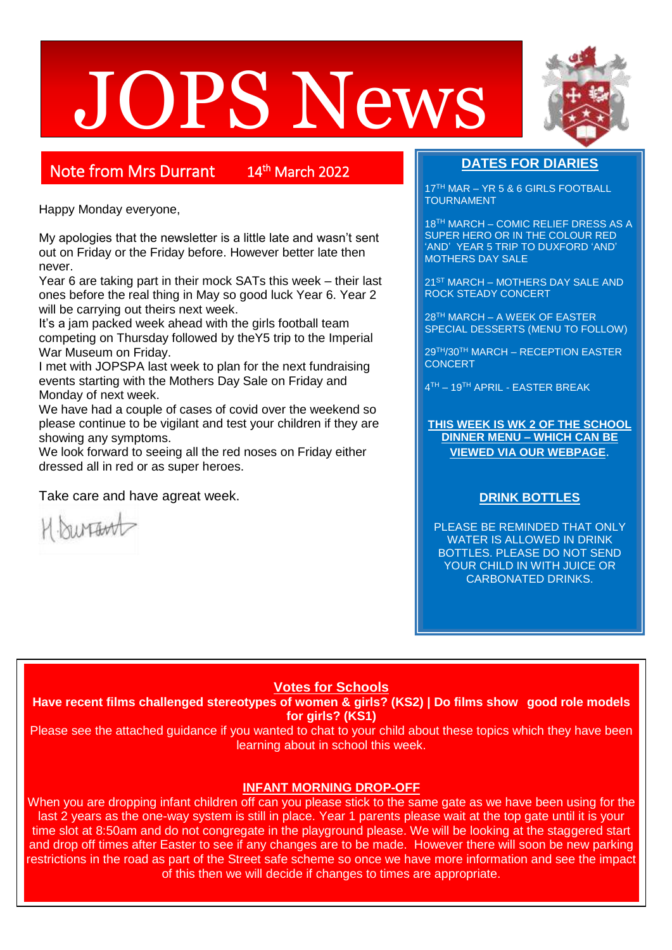# JOPS News



14th March 2022

Happy Monday everyone,

My apologies that the newsletter is a little late and wasn't sent out on Friday or the Friday before. However better late then never.

Year 6 are taking part in their mock SATs this week – their last ones before the real thing in May so good luck Year 6. Year 2 will be carrying out theirs next week.

It's a jam packed week ahead with the girls football team competing on Thursday followed by theY5 trip to the Imperial War Museum on Friday.

I met with JOPSPA last week to plan for the next fundraising events starting with the Mothers Day Sale on Friday and Monday of next week.

We have had a couple of cases of covid over the weekend so please continue to be vigilant and test your children if they are showing any symptoms.

We look forward to seeing all the red noses on Friday either dressed all in red or as super heroes.

Take care and have agreat week.

H. burrant

# **DATES FOR DIARIES**

17<sup>TH</sup> MAR – YR 5 & 6 GIRLS FOOTBALL TOURNAMENT

18TH MARCH – COMIC RELIEF DRESS AS A SUPER HERO OR IN THE COLOUR RED 'AND' YEAR 5 TRIP TO DUXFORD 'AND' MOTHERS DAY SALE

21ST MARCH – MOTHERS DAY SALE AND ROCK STEADY CONCERT

28TH MARCH – A WEEK OF EASTER SPECIAL DESSERTS (MENU TO FOLLOW)

29TH/30TH MARCH – RECEPTION EASTER **CONCERT** 

4 TH – 19TH APRIL - EASTER BREAK

**THIS WEEK IS WK 2 OF THE SCHOOL DINNER MENU – WHICH CAN BE VIEWED VIA OUR WEBPAGE**.

# **DRINK BOTTLES**

PLEASE BE REMINDED THAT ONLY WATER IS ALLOWED IN DRINK BOTTLES. PLEASE DO NOT SEND YOUR CHILD IN WITH JUICE OR CARBONATED DRINKS.

#### **Votes for Schools**

**Have recent films challenged stereotypes of women & girls? (KS2) | Do films show good role models for girls? (KS1)**

Please see the attached guidance if you wanted to chat to your child about these topics which they have been learning about in school this week.

### **INFANT MORNING DROP-OFF**

When you are dropping infant children off can you please stick to the same gate as we have been using for the last 2 years as the one-way system is still in place. Year 1 parents please wait at the top gate until it is your time slot at 8:50am and do not congregate in the playground please. We will be looking at the staggered start and drop off times after Easter to see if any changes are to be made. However there will soon be new parking restrictions in the road as part of the Street safe scheme so once we have more information and see the impact of this then we will decide if changes to times are appropriate.